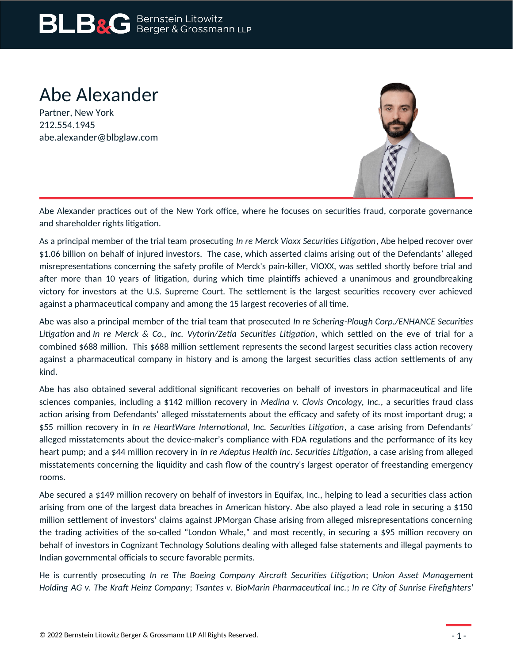# Abe Alexander

Partner, New York 212.554.1945 abe.alexander@blbglaw.com



Abe Alexander practices out of the New York office, where he focuses on securities fraud, corporate governance and shareholder rights litigation.

As a principal member of the trial team prosecuting *In re Merck Vioxx Securities Litigation*, Abe helped recover over \$1.06 billion on behalf of injured investors. The case, which asserted claims arising out of the Defendants' alleged misrepresentations concerning the safety profile of Merck's pain-killer, VIOXX, was settled shortly before trial and after more than 10 years of litigation, during which time plaintiffs achieved a unanimous and groundbreaking victory for investors at the U.S. Supreme Court. The settlement is the largest securities recovery ever achieved against a pharmaceutical company and among the 15 largest recoveries of all time.

Abe was also a principal member of the trial team that prosecuted *In re Schering-Plough Corp./ENHANCE Securities Litigation* and *In re Merck & Co., Inc. Vytorin/Zetia Securities Litigation*, which settled on the eve of trial for a combined \$688 million. This \$688 million settlement represents the second largest securities class action recovery against a pharmaceutical company in history and is among the largest securities class action settlements of any kind.

Abe has also obtained several additional significant recoveries on behalf of investors in pharmaceutical and life sciences companies, including a \$142 million recovery in *Medina v. Clovis Oncology, Inc.*, a securities fraud class action arising from Defendants' alleged misstatements about the efficacy and safety of its most important drug; a \$55 million recovery in *In re HeartWare International, Inc. Securities Litigation*, a case arising from Defendants' alleged misstatements about the device-maker's compliance with FDA regulations and the performance of its key heart pump; and a \$44 million recovery in *In re Adeptus Health Inc. Securities Litigation*, a case arising from alleged misstatements concerning the liquidity and cash flow of the country's largest operator of freestanding emergency rooms.

Abe secured a \$149 million recovery on behalf of investors in Equifax, Inc., helping to lead a securities class action arising from one of the largest data breaches in American history. Abe also played a lead role in securing a \$150 million settlement of investors' claims against JPMorgan Chase arising from alleged misrepresentations concerning the trading activities of the so-called "London Whale," and most recently, in securing a \$95 million recovery on behalf of investors in Cognizant Technology Solutions dealing with alleged false statements and illegal payments to Indian governmental officials to secure favorable permits.

He is currently prosecuting *In re The Boeing Company Aircraft Securities Litigation*; *Union Asset Management Holding AG v. The Kraft Heinz Company*; *Tsantes v. BioMarin Pharmaceutical Inc.*; *In re City of Sunrise Firefighters'*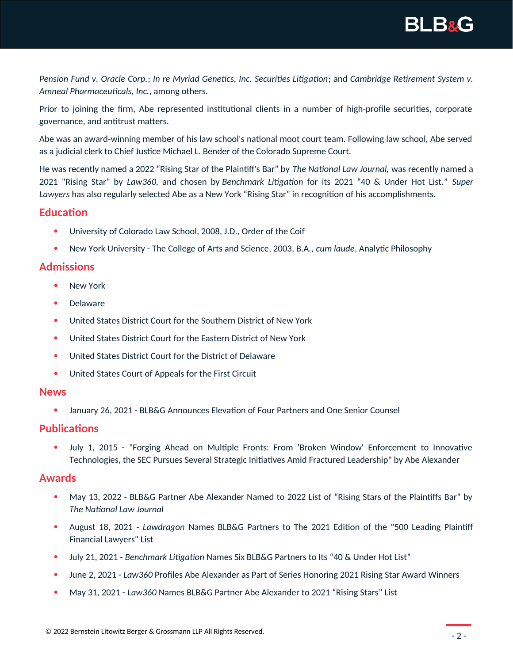**BLB&G** 

*Pension Fund v. Oracle Corp.*; *In re Myriad Genetics, Inc. Securities Litigation*; and *Cambridge Retirement System v. Amneal Pharmaceuticals, Inc.*, among others.

Prior to joining the firm, Abe represented institutional clients in a number of high-profile securities, corporate governance, and antitrust matters.

Abe was an award-winning member of his law school's national moot court team. Following law school, Abe served as a judicial clerk to Chief Justice Michael L. Bender of the Colorado Supreme Court.

He was recently named a 2022 "Rising Star of the Plaintiff's Bar" by *The National Law Journal,* was recently named a 2021 "Rising Star" by *Law360,* and chosen by *Benchmark Litigation* for its 2021 "40 & Under Hot List." *Super Lawyers* has also regularly selected Abe as a New York "Rising Star" in recognition of his accomplishments.

## **Education**

- University of Colorado Law School, 2008, J.D., Order of the Coif
- New York University The College of Arts and Science, 2003, B.A., *cum laude*, Analytic Philosophy

## **Admissions**

- New York
- Delaware
- United States District Court for the Southern District of New York
- United States District Court for the Eastern District of New York
- United States District Court for the District of Delaware
- United States Court of Appeals for the First Circuit

#### **News**

January 26, 2021 - BLB&G Announces Elevation of Four Partners and One Senior Counsel

## **Publications**

 July 1, 2015 - "Forging Ahead on Multiple Fronts: From 'Broken Window' Enforcement to Innovative Technologies, the SEC Pursues Several Strategic Initiatives Amid Fractured Leadership" by Abe Alexander

#### **Awards**

- May 13, 2022 BLB&G Partner Abe Alexander Named to 2022 List of "Rising Stars of the Plaintiffs Bar" by *The National Law Journal*
- August 18, 2021 *Lawdragon* Names BLB&G Partners to The 2021 Edition of the "500 Leading Plaintiff Financial Lawyers" List
- July 21, 2021 *Benchmark Litigation* Names Six BLB&G Partners to Its "40 & Under Hot List"
- June 2, 2021 *Law360* Profiles Abe Alexander as Part of Series Honoring 2021 Rising Star Award Winners
- May 31, 2021 *Law360* Names BLB&G Partner Abe Alexander to 2021 "Rising Stars" List